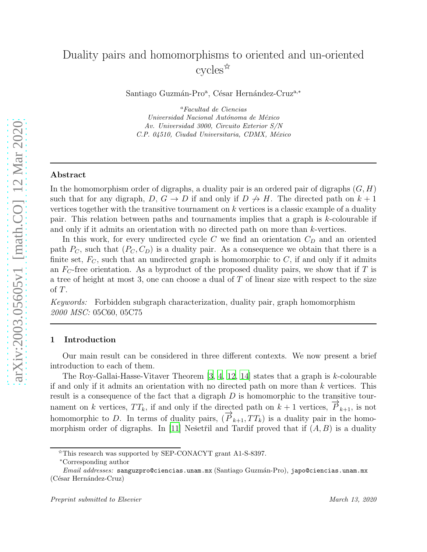# Duality pairs and homomorphisms to oriented and un-oriented cycles<sup> $\hat{\mathbb{R}}$ </sup>

Santiago Guzmán-Pro<sup>a</sup>, César Hernández-Cruz<sup>a,∗</sup>

<sup>a</sup>Facultad de Ciencias Universidad Nacional Autónoma de México Av. Universidad 3000, Circuito Exterior S/N C.P. 04510, Ciudad Universitaria, CDMX, México

## Abstract

In the homomorphism order of digraphs, a duality pair is an ordered pair of digraphs  $(G, H)$ such that for any digraph,  $D, G \rightarrow D$  if and only if  $D \not\rightarrow H$ . The directed path on  $k + 1$ vertices together with the transitive tournament on  $k$  vertices is a classic example of a duality pair. This relation between paths and tournaments implies that a graph is k-colourable if and only if it admits an orientation with no directed path on more than k-vertices.

In this work, for every undirected cycle C we find an orientation  $C_D$  and an oriented path  $P_C$ , such that  $(P_C, C_D)$  is a duality pair. As a consequence we obtain that there is a finite set,  $F_C$ , such that an undirected graph is homomorphic to  $C$ , if and only if it admits an  $F_C$ -free orientation. As a byproduct of the proposed duality pairs, we show that if T is a tree of height at most 3, one can choose a dual of  $T$  of linear size with respect to the size of T.

*Keywords:* Forbidden subgraph characterization, duality pair, graph homomorphism *2000 MSC:* 05C60, 05C75

#### <span id="page-0-0"></span>1 Introduction

Our main result can be considered in three different contexts. We now present a brief introduction to each of them.

The Roy-Gallai-Hasse-Vitaver Theorem  $[3, 4, 12, 14]$  $[3, 4, 12, 14]$  $[3, 4, 12, 14]$  $[3, 4, 12, 14]$  states that a graph is k-colourable if and only if it admits an orientation with no directed path on more than  $k$  vertices. This result is a consequence of the fact that a digraph  $D$  is homomorphic to the transitive tournament on k vertices,  $TT_k$ , if and only if the directed path on  $k + 1$  vertices,  $\overrightarrow{P}_{k+1}$ , is not homomorphic to D. In terms of duality pairs,  $(\vec{P}_{k+1}, TT_k)$  is a duality pair in the homo-morphism order of digraphs. In [\[11\]](#page-11-2) Nešetřil and Tardif proved that if  $(A, B)$  is a duality

 $\overline{X}$ This research was supported by SEP-CONACYT grant A1-S-8397.

<sup>∗</sup>Corresponding author

Email addresses: sanguzpro@ciencias.unam.mx (Santiago Guzmán-Pro), japo@ciencias.unam.mx (César Hernández-Cruz)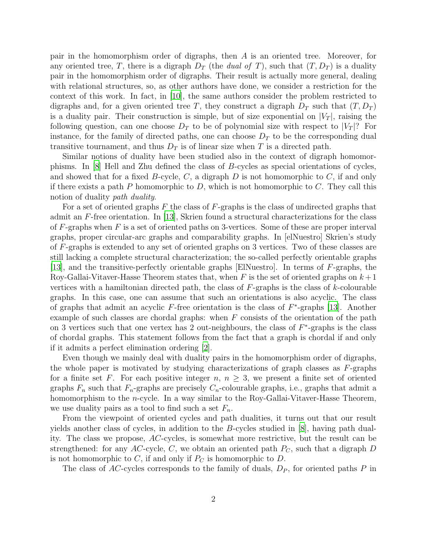pair in the homomorphism order of digraphs, then A is an oriented tree. Moreover, for any oriented tree, T, there is a digraph  $D_T$  (the *dual of* T), such that  $(T, D_T)$  is a duality pair in the homomorphism order of digraphs. Their result is actually more general, dealing with relational structures, so, as other authors have done, we consider a restriction for the context of this work. In fact, in [\[10\]](#page-11-3), the same authors consider the problem restricted to digraphs and, for a given oriented tree T, they construct a digraph  $D_T$  such that  $(T, D_T)$ is a duality pair. Their construction is simple, but of size exponential on  $|V_T|$ , raising the following question, can one choose  $D_T$  to be of polynomial size with respect to  $|V_T|$ ? For instance, for the family of directed paths, one can choose  $D<sub>T</sub>$  to be the corresponding dual transitive tournament, and thus  $D_T$  is of linear size when T is a directed path.

Similar notions of duality have been studied also in the context of digraph homomorphisms. In [\[8](#page-11-4)] Hell and Zhu defined the class of B-cycles as special orientations of cycles, and showed that for a fixed  $B$ -cycle,  $C$ , a digraph  $D$  is not homomorphic to  $C$ , if and only if there exists a path P homomorphic to  $D$ , which is not homomorphic to  $C$ . They call this notion of duality *path duality*.

For a set of oriented graphs  $F$  the class of  $F$ -graphs is the class of undirected graphs that admit an  $F$ -free orientation. In [\[13](#page-12-2)], Skrien found a structural characterizations for the class of  $F$ -graphs when  $F$  is a set of oriented paths on 3-vertices. Some of these are proper interval graphs, proper circular-arc graphs and comparability graphs. In [elNuestro] Skrien's study of F-graphs is extended to any set of oriented graphs on 3 vertices. Two of these classes are still lacking a complete structural characterization; the so-called perfectly orientable graphs [\[13](#page-12-2)], and the transitive-perfectly orientable graphs [ElNuestro]. In terms of F-graphs, the Roy-Gallai-Vitaver-Hasse Theorem states that, when F is the set of oriented graphs on  $k+1$ vertices with a hamiltonian directed path, the class of  $F$ -graphs is the class of k-colourable graphs. In this case, one can assume that such an orientations is also acyclic. The class of graphs that admit an acyclic  $F$ -free orientation is the class of  $F^*$ -graphs [\[13](#page-12-2)]. Another example of such classes are chordal graphs: when  $F$  consists of the orientation of the path on 3 vertices such that one vertex has 2 out-neighbours, the class of  $F^*$ -graphs is the class of chordal graphs. This statement follows from the fact that a graph is chordal if and only if it admits a perfect elimination ordering [\[2](#page-11-5)].

Even though we mainly deal with duality pairs in the homomorphism order of digraphs, the whole paper is motivated by studying characterizations of graph classes as  $F$ -graphs for a finite set F. For each positive integer n,  $n \geq 3$ , we present a finite set of oriented graphs  $F_n$  such that  $F_n$ -graphs are precisely  $C_n$ -colourable graphs, i.e., graphs that admit a homomorphism to the *n*-cycle. In a way similar to the Roy-Gallai-Vitaver-Hasse Theorem, we use duality pairs as a tool to find such a set  $F_n$ .

From the viewpoint of oriented cycles and path dualities, it turns out that our result yields another class of cycles, in addition to the B-cycles studied in [\[8\]](#page-11-4), having path duality. The class we propose, AC-cycles, is somewhat more restrictive, but the result can be strengthened: for any AC-cycle, C, we obtain an oriented path  $P_C$ , such that a digraph D is not homomorphic to C, if and only if  $P_C$  is homomorphic to D.

The class of AC-cycles corresponds to the family of duals,  $D<sub>P</sub>$ , for oriented paths P in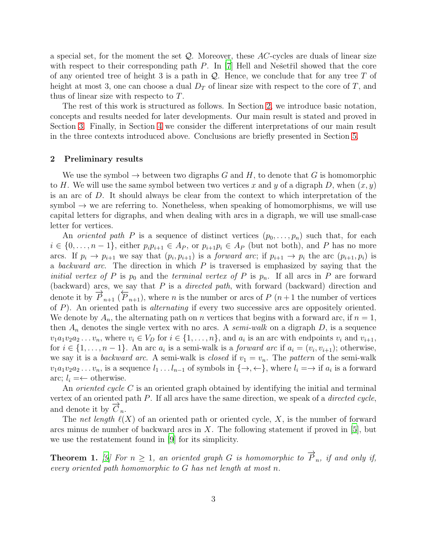a special set, for the moment the set  $\mathcal{Q}$ . Moreover, these AC-cycles are duals of linear size with respect to their corresponding path  $P$ . In [\[7](#page-11-6)] Hell and Ne $\check{\text{setri}}$  showed that the core of any oriented tree of height 3 is a path in  $Q$ . Hence, we conclude that for any tree T of height at most 3, one can choose a dual  $D<sub>T</sub>$  of linear size with respect to the core of T, and thus of linear size with respecto to T.

The rest of this work is structured as follows. In Section [2,](#page-2-0) we introduce basic notation, concepts and results needed for later developments. Our main result is stated and proved in Section [3.](#page-3-0) Finally, in Section [4](#page-8-0) we consider the different interpretations of our main result in the three contexts introduced above. Conclusions are briefly presented in Section [5.](#page-11-7)

## <span id="page-2-0"></span>2 Preliminary results

We use the symbol  $\rightarrow$  between two digraphs G and H, to denote that G is homomorphic to H. We will use the same symbol between two vertices x and y of a digraph D, when  $(x, y)$ is an arc of D. It should always be clear from the context to which interpretation of the symbol  $\rightarrow$  we are referring to. Nonetheless, when speaking of homomorphisms, we will use capital letters for digraphs, and when dealing with arcs in a digraph, we will use small-case letter for vertices.

An *oriented path* P is a sequence of distinct vertices  $(p_0, \ldots, p_n)$  such that, for each  $i \in \{0, \ldots, n-1\}$ , either  $p_i p_{i+1} \in A_P$ , or  $p_{i+1} p_i \in A_P$  (but not both), and P has no more arcs. If  $p_i \to p_{i+1}$  we say that  $(p_i, p_{i+1})$  is a *forward arc*; if  $p_{i+1} \to p_i$  the arc  $(p_{i+1}, p_i)$  is a *backward arc*. The direction in which P is traversed is emphasized by saying that the *initial vertex of* P is  $p_0$  and the *terminal vertex of* P is  $p_n$ . If all arcs in P are forward (backward) arcs, we say that P is a *directed path*, with forward (backward) direction and denote it by  $\overrightarrow{P}_{n+1}(\overleftarrow{P}_{n+1})$ , where *n* is the number or arcs of *P* (*n*+1 the number of vertices of P). An oriented path is *alternating* if every two successive arcs are oppositely oriented. We denote by  $A_n$ , the alternating path on n vertices that begins with a forward arc, if  $n = 1$ , then  $A_n$  denotes the single vertex with no arcs. A *semi-walk* on a digraph  $D$ , is a sequence  $v_1a_1v_2a_2...v_n$ , where  $v_i \in V_D$  for  $i \in \{1,...,n\}$ , and  $a_i$  is an arc with endpoints  $v_i$  and  $v_{i+1}$ , for  $i \in \{1, \ldots, n-1\}$ . An arc  $a_i$  is a semi-walk is a *forward arc* if  $a_i = (v_i, v_{i+1})$ ; otherwise, we say it is a *backward arc*. A semi-walk is *closed* if  $v_1 = v_n$ . The *pattern* of the semi-walk  $v_1a_1v_2a_2\ldots v_n$ , is a sequence  $l_1\ldots l_{n-1}$  of symbols in  $\{\rightarrow, \leftarrow\}$ , where  $l_i = \rightarrow$  if  $a_i$  is a forward arc;  $l_i = \leftarrow$  otherwise.

An *oriented cycle* C is an oriented graph obtained by identifying the initial and terminal vertex of an oriented path P. If all arcs have the same direction, we speak of a *directed cycle*, and denote it by  $\overrightarrow{C}_n$ .

The *net length*  $\ell(X)$  of an oriented path or oriented cycle, X, is the number of forward arcs minus de number of backward arcs in  $X$ . The following statement if proved in [\[5\]](#page-11-8), but we use the restatement found in [\[9](#page-11-9)] for its simplicity.

<span id="page-2-1"></span>**Theorem 1.** [\[9\]](#page-11-9) For  $n \geq 1$ , an oriented graph G is homomorphic to  $\overrightarrow{P}_n$ , if and only if, *every oriented path homomorphic to* G *has net length at most* n*.*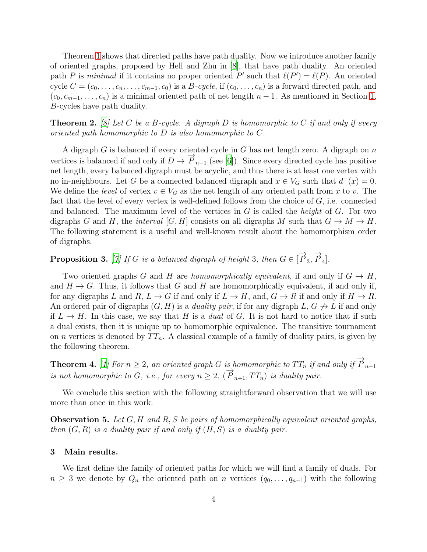Theorem [1](#page-2-1) shows that directed paths have path duality. Now we introduce another family of oriented graphs, proposed by Hell and Zhu in [\[8](#page-11-4)], that have path duality. An oriented path P is *minimal* if it contains no proper oriented P' such that  $\ell(P') = \ell(P)$ . An oriented cycle  $C = (c_0, \ldots, c_n, \ldots, c_{m-1}, c_0)$  is a B-cycle, if  $(c_0, \ldots, c_n)$  is a forward directed path, and  $(c_0, c_{m-1}, \ldots, c_n)$  is a minimal oriented path of net length  $n-1$ . As mentioned in Section [1,](#page-0-0) B-cycles have path duality.

<span id="page-3-3"></span>Theorem 2. *[\[8](#page-11-4)] Let* C *be a* B*-cycle. A digraph* D *is homomorphic to* C *if and only if every oriented path homomorphic to* D *is also homomorphic to* C*.*

A digraph G is balanced if every oriented cycle in G has net length zero. A digraph on  $n$ vertices is balanced if and only if  $D \to \overline{P}_{n-1}$  (see [\[6\]](#page-11-10)). Since every directed cycle has positive net length, every balanced digraph must be acyclic, and thus there is at least one vertex with no in-neighbours. Let G be a connected balanced digraph and  $x \in V_G$  such that  $d^-(x) = 0$ . We define the *level* of vertex  $v \in V_G$  as the net length of any oriented path from x to v. The fact that the level of every vertex is well-defined follows from the choice of  $G$ , i.e. connected and balanced. The maximum level of the vertices in G is called the *height* of G. For two digraphs G and H, the *interval* [G, H] consists on all digraphs M such that  $G \to M \to H$ . The following statement is a useful and well-known result about the homomorphism order of digraphs.

<span id="page-3-4"></span>**Proposition 3.** [\[7\]](#page-11-6) If G is a balanced digraph of height 3, then  $G \in [\overrightarrow{P}_3, \overrightarrow{P}_4]$ .

Two oriented graphs G and H are *homomorphically equivalent*, if and only if  $G \to H$ , and  $H \to G$ . Thus, it follows that G and H are homomorphically equivalent, if and only if, for any digraphs L and R,  $L \to G$  if and only if  $L \to H$ , and,  $G \to R$  if and only if  $H \to R$ . An ordered pair of digraphs  $(G, H)$  is a *duality pair*, if for any digraph L,  $G \nrightarrow L$  if and only if  $L \to H$ . In this case, we say that H is a *dual* of G. It is not hard to notice that if such a dual exists, then it is unique up to homomorphic equivalence. The transitive tournament on *n* vertices is denoted by  $TT_n$ . A classical example of a family of duality pairs, is given by the following theorem.

<span id="page-3-1"></span>**Theorem 4.** [\[1\]](#page-11-11) For  $n \geq 2$ , an oriented graph G is homomorphic to  $TT_n$  if and only if  $\overrightarrow{P}_{n+1}$ *is not homomorphic to* G*, i.e., for every*  $n \geq 2$ ,  $(\overrightarrow{P}_{n+1}, TT_n)$  *is duality pair.* 

We conclude this section with the following straightforward observation that we will use more than once in this work.

<span id="page-3-2"></span>Observation 5. *Let* G, H *and* R, S *be pairs of homomorphically equivalent oriented graphs, then* (G, R) *is a duality pair if and only if* (H, S) *is a duality pair.*

## <span id="page-3-0"></span>3 Main results.

We first define the family of oriented paths for which we will find a family of duals. For  $n \geq 3$  we denote by  $Q_n$  the oriented path on n vertices  $(q_0, \ldots, q_{n-1})$  with the following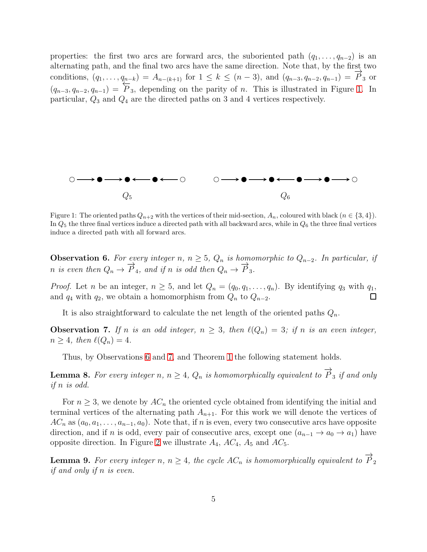properties: the first two arcs are forward arcs, the suboriented path  $(q_1, \ldots, q_{n-2})$  is an alternating path, and the final two arcs have the same direction. Note that, by the first two conditions,  $(q_1, \ldots, q_{n-k}) = A_{n-(k+1)}$  for  $1 \leq k \leq (n-3)$ , and  $(q_{n-3}, q_{n-2}, q_{n-1}) = \overrightarrow{P}_3$  or  $(q_{n-3}, q_{n-2}, q_{n-1}) = \overleftarrow{P}_3$ , depending on the parity of n. This is illustrated in Figure [1.](#page-4-0) In particular,  $Q_3$  and  $Q_4$  are the directed paths on 3 and 4 vertices respectively.



<span id="page-4-0"></span>Figure 1: The oriented paths  $Q_{n+2}$  with the vertices of their mid-section,  $A_n$ , coloured with black  $(n \in \{3, 4\})$ . In  $Q_5$  the three final vertices induce a directed path with all backward arcs, while in  $Q_6$  the three final vertices induce a directed path with all forward arcs.

<span id="page-4-1"></span>**Observation 6.** For every integer n,  $n \geq 5$ ,  $Q_n$  is homomorphic to  $Q_{n-2}$ . In particular, if n is even then  $Q_n \to \overrightarrow{P}_4$ , and if n is odd then  $Q_n \to \overrightarrow{P}_3$ .

*Proof.* Let n be an integer,  $n \geq 5$ , and let  $Q_n = (q_0, q_1, \ldots, q_n)$ . By identifying  $q_3$  with  $q_1$ , and  $q_4$  with  $q_2$ , we obtain a homomorphism from  $Q_n$  to  $Q_{n-2}$ .

It is also straightforward to calculate the net length of the oriented paths  $Q_n$ .

<span id="page-4-2"></span>**Observation 7.** If n is an odd integer,  $n \geq 3$ , then  $\ell(Q_n) = 3$ ; if n is an even integer,  $n \geq 4$ , then  $\ell(Q_n) = 4$ .

Thus, by Observations [6](#page-4-1) and [7,](#page-4-2) and Theorem [1](#page-2-1) the following statement holds.

<span id="page-4-3"></span>**Lemma 8.** For every integer n,  $n \geq 4$ ,  $Q_n$  is homomorphically equivalent to  $\overrightarrow{P}_3$  if and only *if* n *is odd.*

For  $n \geq 3$ , we denote by  $AC_n$  the oriented cycle obtained from identifying the initial and terminal vertices of the alternating path  $A_{n+1}$ . For this work we will denote the vertices of  $AC_n$  as  $(a_0, a_1, \ldots, a_{n-1}, a_0)$ . Note that, if n is even, every two consecutive arcs have opposite direction, and if n is odd, every pair of consecutive arcs, except one  $(a_{n-1} \to a_0 \to a_1)$  have opposite direction. In Figure [2](#page-5-0) we illustrate  $A_4$ ,  $AC_4$ ,  $A_5$  and  $AC_5$ .

<span id="page-4-4"></span>**Lemma 9.** For every integer n,  $n \geq 4$ , the cycle  $AC_n$  is homomorphically equivalent to  $\overrightarrow{P}_2$ *if and only if* n *is even.*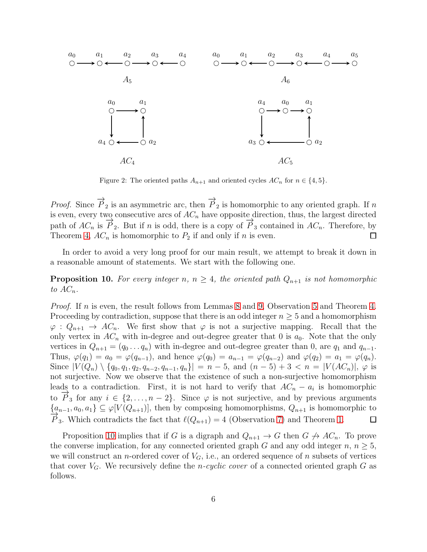

<span id="page-5-0"></span>Figure 2: The oriented paths  $A_{n+1}$  and oriented cycles  $AC_n$  for  $n \in \{4, 5\}.$ 

*Proof.* Since  $\overrightarrow{P}_2$  is an asymmetric arc, then  $\overrightarrow{P}_2$  is homomorphic to any oriented graph. If n is even, every two consecutive arcs of  $AC_n$  have opposite direction, thus, the largest directed path of  $AC_n$  is  $\overrightarrow{P}_2$ . But if n is odd, there is a copy of  $\overrightarrow{P}_3$  contained in  $AC_n$ . Therefore, by Theorem [4,](#page-3-1)  $AC_n$  is homomorphic to  $P_2$  if and only if n is even.  $\Box$ 

In order to avoid a very long proof for our main result, we attempt to break it down in a reasonable amount of statements. We start with the following one.

<span id="page-5-1"></span>**Proposition 10.** For every integer n,  $n \geq 4$ , the oriented path  $Q_{n+1}$  is not homomorphic to  $AC_n$ .

*Proof.* If n is even, the result follows from Lemmas [8](#page-4-3) and [9,](#page-4-4) Observation [5](#page-3-2) and Theorem [4.](#page-3-1) Proceeding by contradiction, suppose that there is an odd integer  $n \geq 5$  and a homomorphism  $\varphi: Q_{n+1} \to AC_n$ . We first show that  $\varphi$  is not a surjective mapping. Recall that the only vertex in  $AC_n$  with in-degree and out-degree greater that 0 is  $a_0$ . Note that the only vertices in  $Q_{n+1} = (q_0 \dots q_n)$  with in-degree and out-degree greater than 0, are  $q_1$  and  $q_{n-1}$ . Thus,  $\varphi(q_1) = a_0 = \varphi(q_{n-1})$ , and hence  $\varphi(q_0) = a_{n-1} = \varphi(q_{n-2})$  and  $\varphi(q_2) = a_1 = \varphi(q_n)$ . Since  $|V(Q_n) \setminus \{q_0, q_1, q_2, q_{n-2}, q_{n-1}, q_n\}| = n - 5$ , and  $(n - 5) + 3 < n = |V(AC_n)|$ ,  $\varphi$  is not surjective. Now we observe that the existence of such a non-surjective homomorphism leads to a contradiction. First, it is not hard to verify that  $AC_n - a_i$  is homomorphic to  $\overrightarrow{P}_3$  for any  $i \in \{2, ..., n-2\}$ . Since  $\varphi$  is not surjective, and by previous arguments  ${a_{n-1}, a_0, a_1} \subseteq \varphi[V(Q_{n+1})],$  then by composing homomorphisms,  $Q_{n+1}$  is homomorphic to  $\hat{P}_3$ . Which contradicts the fact that  $\ell(Q_{n+1}) = 4$  (Observation [7\)](#page-4-2) and Theorem [1.](#page-2-1)  $\Box$ 

Proposition [10](#page-5-1) implies that if G is a digraph and  $Q_{n+1} \to G$  then  $G \not\to AC_n$ . To prove the converse implication, for any connected oriented graph G and any odd integer  $n, n \geq 5$ , we will construct an *n*-ordered cover of  $V_G$ , i.e., an ordered sequence of *n* subsets of vertices that cover  $V_G$ . We recursively define the *n-cyclic cover* of a connected oriented graph  $G$  as follows.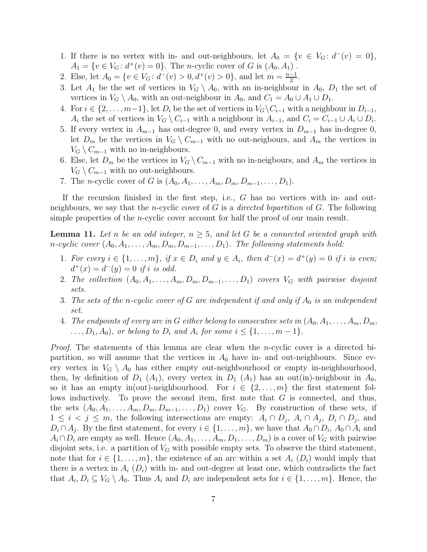- 1. If there is no vertex with in- and out-neighbours, let  $A_0 = \{v \in V_G : d^-(v) = 0\},\$  $A_1 = \{v \in V_G : d^+(v) = 0\}.$  The *n*-cyclic cover of G is  $(A_0, A_1)$ .
- 2. Else, let  $A_0 = \{v \in V_G : d^-(v) > 0, d^+(v) > 0\}$ , and let  $m = \frac{n-1}{2}$  $\frac{-1}{2}$ .
- 3. Let  $A_1$  be the set of vertices in  $V_G \setminus A_0$ , with an in-neighbour in  $A_0$ ,  $D_1$  the set of vertices in  $V_G \setminus A_0$ , with an out-neighbour in  $A_0$ , and  $C_1 = A_0 \cup A_1 \cup D_1$ .
- 4. For  $i \in \{2, \ldots, m-1\}$ , let  $D_i$  be the set of vertices in  $V_G\backslash C_{i-1}$  with a neighbour in  $D_{i-1}$ ,  $A_i$  the set of vertices in  $V_G \setminus C_{i-1}$  with a neighbour in  $A_{i-1}$ , and  $C_i = C_{i-1} \cup A_i \cup D_i$ .
- 5. If every vertex in  $A_{m-1}$  has out-degree 0, and every vertex in  $D_{m-1}$  has in-degree 0, let  $D_m$  be the vertices in  $V_G \setminus C_{m-1}$  with no out-neigbours, and  $A_m$  the vertices in  $V_G \setminus C_{m-1}$  with no in-neighbours.
- 6. Else, let  $D_m$  be the vertices in  $V_G \setminus C_{m-1}$  with no in-neigbours, and  $A_m$  the vertices in  $V_G \setminus C_{m-1}$  with no out-neighbours.
- 7. The *n*-cyclic cover of G is  $(A_0, A_1, \ldots, A_m, D_m, D_{m-1}, \ldots, D_1)$ .

If the recursion finished in the first step, i.e.,  $G$  has no vertices with in- and outneighbours, we say that the n-cyclic cover of G is a *directed bipartition* of G. The following simple properties of the *n*-cyclic cover account for half the proof of our main result.

<span id="page-6-0"></span>**Lemma 11.** Let *n* be an odd integer,  $n \geq 5$ , and let G be a connected oriented graph with  $n\text{-}cyclic\ cover\ (A_0, A_1, \ldots, A_m, D_m, D_{m-1}, \ldots, D_1)$ . The following statements hold:

- 1. For every  $i \in \{1, \ldots, m\}$ , if  $x \in D_i$  and  $y \in A_i$ , then  $d^-(x) = d^+(y) = 0$  if i is even;  $d^+(x) = d^-(y) = 0$  *if i is odd.*
- 2. The collection  $(A_0, A_1, \ldots, A_m, D_m, D_{m-1}, \ldots, D_1)$  covers  $V_G$  with pairwise disjoint *sets.*
- 3. The sets of the *n*-cyclic cover of G are independent if and only if  $A_0$  is an independent *set.*
- 4. *The endpoints of every arc in* G *either belong to consecutive sets in*  $(A_0, A_1, \ldots, A_m, D_m,$  $\dots, D_1, A_0$ , or belong to  $D_i$  and  $A_i$  for some  $i \leq \{1, \dots, m-1\}$ .

*Proof.* The statements of this lemma are clear when the *n*-cyclic cover is a directed bipartition, so will assume that the vertices in  $A_0$  have in- and out-neighbours. Since every vertex in  $V_G \setminus A_0$  has either empty out-neighbourhood or empty in-neighbourhood, then, by definition of  $D_1$  (A<sub>1</sub>), every vertex in  $D_1$  (A<sub>1</sub>) has an out(in)-neighbour in A<sub>0</sub>, so it has an empty in(out)-neighbourhood. For  $i \in \{2, \ldots, m\}$  the first statement follows inductively. To prove the second item, first note that G is connected, and thus, the sets  $(A_0, A_1, \ldots, A_m, D_m, D_{m-1}, \ldots, D_1)$  cover  $V_G$ . By construction of these sets, if  $1 \leq i \leq j \leq m$ , the following intersections are empty:  $A_i \cap D_j$ ,  $A_i \cap A_j$ ,  $D_i \cap D_j$ , and  $D_i \cap A_j$ . By the first statement, for every  $i \in \{1, \ldots, m\}$ , we have that  $A_0 \cap D_i$ ,  $A_0 \cap A_i$  and  $A_i \cap D_i$  are empty as well. Hence  $(A_0, A_1, \ldots, A_m, D_1, \ldots, D_m)$  is a cover of  $V_G$  with pairwise disjoint sets, i.e. a partition of  $V_G$  with possible empty sets. To observe the third statement, note that for  $i \in \{1, \ldots, m\}$ , the existence of an arc within a set  $A_i$   $(D_i)$  would imply that there is a vertex in  $A_i$   $(D_i)$  with in- and out-degree at least one, which contradicts the fact that  $A_i, D_i \subseteq V_G \setminus A_0$ . Thus  $A_i$  and  $D_i$  are independent sets for  $i \in \{1, \ldots, m\}$ . Hence, the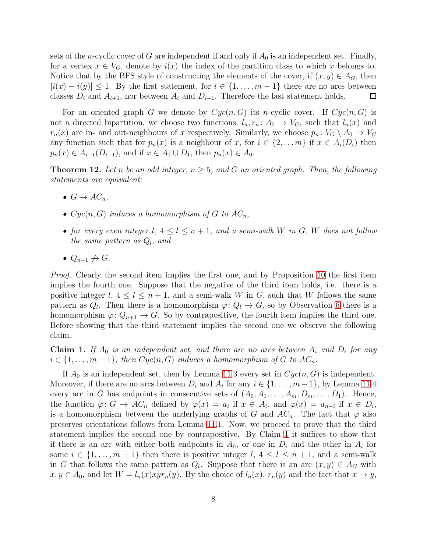sets of the *n*-cyclic cover of G are independent if and only if  $A_0$  is an independent set. Finally, for a vertex  $x \in V_G$ , denote by  $i(x)$  the index of the partition class to which x belongs to. Notice that by the BFS style of constructing the elements of the cover, if  $(x, y) \in A_G$ , then  $|i(x) - i(y)| \leq 1$ . By the first statement, for  $i \in \{1, ..., m-1\}$  there are no arcs between classes  $D_i$  and  $A_{i+1}$ , nor between  $A_i$  and  $D_{i+1}$ . Therefore the last statement holds. □

For an oriented graph G we denote by  $Cyc(n, G)$  its n-cyclic cover. If  $Cyc(n, G)$  is not a directed bipartition, we choose two functions,  $l_n, r_n: A_0 \to V_G$ , such that  $l_n(x)$  and  $r_n(x)$  are in- and out-neighbours of x respectively. Similarly, we choose  $p_n: V_G \setminus A_0 \to V_G$ any function such that for  $p_n(x)$  is a neighbour of x, for  $i \in \{2, ..., m\}$  if  $x \in A_i(D_i)$  then  $p_n(x) \in A_{i-1}(D_{i-1}),$  and if  $x \in A_1 \cup D_1$ , then  $p_n(x) \in A_0$ .

<span id="page-7-1"></span>**Theorem 12.** Let n be an odd integer,  $n \geq 5$ , and G an oriented graph. Then, the following *statements are equivalent:*

- $G \rightarrow AC_n$
- $Cyc(n, G)$  *induces a homomorphism of* G *to*  $AC_n$ ,
- *for every even integer*  $l, 4 \leq l \leq n+1$ *, and a semi-walk* W *in* G, W does not follow *the same pattern as*  $Q_l$ , and
- $Q_{n+1} \nrightarrow G$ .

*Proof.* Clearly the second item implies the first one, and by Proposition [10](#page-5-1) the first item implies the fourth one. Suppose that the negative of the third item holds, i.e. there is a positive integer l,  $4 \leq l \leq n+1$ , and a semi-walk W in G, such that W follows the same pattern as  $Q_l$ . Then there is a homomorphism  $\varphi: Q_l \to G$ , so by Observation [6](#page-4-1) there is a homomorphism  $\varphi: Q_{n+1} \to G$ . So by contrapositive, the fourth item implies the third one. Before showing that the third statement implies the second one we observe the following claim.

<span id="page-7-0"></span>**Claim 1.** If  $A_0$  is an independent set, and there are no arcs between  $A_i$  and  $D_i$  for any  $i \in \{1, \ldots, m-1\}$ , then  $Cyc(n, G)$  induces a homomorphism of G to  $AC_n$ .

If  $A_0$  is an independent set, then by Lemma [11.](#page-6-0)3 every set in  $Cyc(n, G)$  is independent. Moreover, if there are no arcs between  $D_i$  and  $A_i$  for any  $i \in \{1, \ldots, m-1\}$ , by Lemma [11.](#page-6-0)4 every arc in G has endpoints in consecutive sets of  $(A_0, A_1, \ldots, A_m, D_m, \ldots, D_1)$ . Hence, the function  $\varphi: G \to AC_n$  defined by  $\varphi(x) = a_i$  if  $x \in A_i$ , and  $\varphi(x) = a_{n-i}$  if  $x \in D_i$ , is a homomorphism between the underlying graphs of G and  $AC_n$ . The fact that  $\varphi$  also preserves orientations follows from Lemma [11.](#page-6-0)1. Now, we proceed to prove that the third statement implies the second one by contrapositive. By Claim [1](#page-7-0) it suffices to show that if there is an arc with either both endpoints in  $A_0$ , or one in  $D_i$  and the other in  $A_i$  for some  $i \in \{1, \ldots, m-1\}$  then there is positive integer l,  $4 \leq l \leq n+1$ , and a semi-walk in G that follows the same pattern as  $Q_l$ . Suppose that there is an arc  $(x, y) \in A_G$  with  $x, y \in A_0$ , and let  $W = l_n(x)xyr_n(y)$ . By the choice of  $l_n(x)$ ,  $r_n(y)$  and the fact that  $x \to y$ ,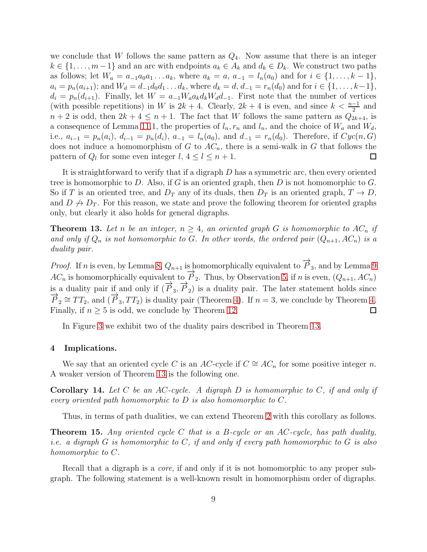we conclude that W follows the same pattern as  $Q_4$ . Now assume that there is an integer  $k \in \{1, \ldots, m-1\}$  and an arc with endpoints  $a_k \in A_k$  and  $d_k \in D_k$ . We construct two paths as follows; let  $W_a = a_{-1}a_0a_1 \ldots a_k$ , where  $a_k = a$ ,  $a_{-1} = l_n(a_0)$  and for  $i \in \{1, \ldots, k-1\}$ ,  $a_i = p_n(a_{i+1});$  and  $W_d = d_{-1}d_0d_1 \ldots d_k$ , where  $d_k = d, d_{-1} = r_n(d_0)$  and for  $i \in \{1, \ldots, k-1\}$ ,  $d_i = p_n(d_{i+1})$ . Finally, let  $W = a_{-1}W_a a_k d_k W_d d_{-1}$ . First note that the number of vertices (with possible repetitions) in W is  $2k + 4$ . Clearly,  $2k + 4$  is even, and since  $k < \frac{n-1}{2}$  and  $n+2$  is odd, then  $2k+4 \leq n+1$ . The fact that W follows the same pattern as  $Q_{2k+4}$ , is a consequence of Lemma [11.](#page-6-0)1, the properties of  $l_n, r_n$  and  $l_n$ , and the choice of  $W_a$  and  $W_d$ , i.e.,  $a_{i-1} = p_n(a_i)$ ,  $d_{i-1} = p_n(d_i)$ ,  $a_{-1} = l_n(a_0)$ , and  $d_{-1} = r_n(d_0)$ . Therefore, if  $Cyc(n, G)$ does not induce a homomorphism of G to  $AC_n$ , there is a semi-walk in G that follows the pattern of  $Q_l$  for some even integer  $l, 4 \leq l \leq n+1$ .  $\Box$ 

It is straightforward to verify that if a digraph  $D$  has a symmetric arc, then every oriented tree is homomorphic to D. Also, if G is an oriented graph, then D is not homomorphic to  $G$ . So if T is an oriented tree, and  $D_T$  any of its duals, then  $D_T$  is an oriented graph,  $T \to D$ , and  $D \nrightarrow D_T$ . For this reason, we state and prove the following theorem for oriented graphs only, but clearly it also holds for general digraphs.

<span id="page-8-1"></span>**Theorem 13.** Let *n* be an integer,  $n \geq 4$ , an oriented graph G is homomorphic to  $AC_n$  if and only if  $Q_n$  is not homomorphic to G. In other words, the ordered pair  $(Q_{n+1}, AC_n)$  is a *duality pair.*

*Proof.* If n is even, by Lemma [8,](#page-4-3)  $Q_{n+1}$  is homomorphically equivalent to  $\overrightarrow{P}_3$ , and by Lemma [9](#page-4-4)  $AC_n$  is homomorphically equivalent to  $\overrightarrow{P}_2$ . Thus, by Observation [5,](#page-3-2) if n is even,  $(Q_{n+1}, AC_n)$ is a duality pair if and only if  $(\vec{P}_3, \vec{P}_2)$  is a duality pair. The later statement holds since  $\overrightarrow{P}_2 \cong TT_2$ , and  $(\overrightarrow{P}_3, TT_2)$  is duality pair (Theorem [4\)](#page-3-1). If  $n = 3$ , we conclude by Theorem [4.](#page-3-1) Finally, if  $n \geq 5$  is odd, we conclude by Theorem [12.](#page-7-1) 口

In Figure [3](#page-9-0) we exhibit two of the duality pairs described in Theorem [13.](#page-8-1)

## <span id="page-8-0"></span>4 Implications.

We say that an oriented cycle C is an AC-cycle if  $C \cong AC_n$  for some positive integer n. A weaker version of Theorem [13](#page-8-1) is the following one.

Corollary 14. *Let* C *be an* AC*-cycle. A digraph* D *is homomorphic to* C*, if and only if every oriented path homomorphic to* D *is also homomorphic to* C*.*

Thus, in terms of path dualities, we can extend Theorem [2](#page-3-3) with this corollary as follows.

Theorem 15. *Any oriented cycle* C *that is a* B*-cycle or an* AC*-cycle, has path duality, i.e. a digraph* G *is homomorphic to* C*, if and only if every path homomorphic to* G *is also homomorphic to* C*.*

Recall that a digraph is a *core*, if and only if it is not homomorphic to any proper subgraph. The following statement is a well-known result in homomorphism order of digraphs.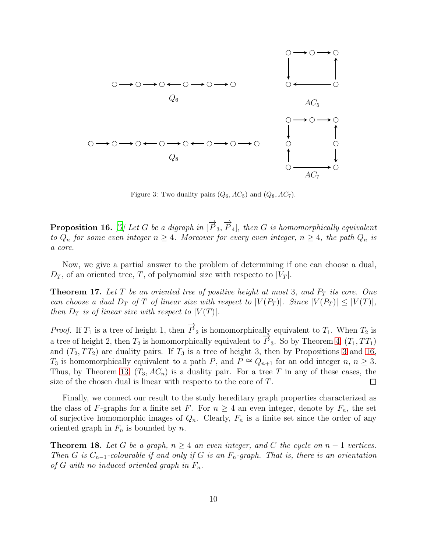

<span id="page-9-0"></span>Figure 3: Two duality pairs  $(Q_6, AC_5)$  and  $(Q_8, AC_7)$ .

<span id="page-9-1"></span> $\bf{Proposition~16.}$  [\[7\]](#page-11-6) Let  $G$  be a digraph in  $[\overrightarrow{P}_3,\overrightarrow{P}_4]$ , then  $G$  is homomorphically equivalent *to*  $Q_n$  *for some even integer*  $n \geq 4$ *. Moreover for every even integer,*  $n \geq 4$ *, the path*  $Q_n$  *is a core.*

Now, we give a partial answer to the problem of determining if one can choose a dual,  $D_T$ , of an oriented tree, T, of polynomial size with respecto to  $|V_T|$ .

**Theorem 17.** Let T be an oriented tree of positive height at most 3, and  $P_T$  its core. One *can choose a dual*  $D_T$  *of*  $T$  *of linear size with respect to*  $|V(P_T)|$ *. Since*  $|V(P_T)| \leq |V(T)|$ *, then*  $D_T$  *is of linear size with respect to*  $|V(T)|$ *.* 

*Proof.* If  $T_1$  is a tree of height 1, then  $\overrightarrow{P}_2$  is homomorphically equivalent to  $T_1$ . When  $T_2$  is a tree of height 2, then  $T_2$  is homomorphically equivalent to  $\overline{P}_3$ . So by Theorem [4,](#page-3-1)  $(T_1, TT_1)$ and  $(T_2, TT_2)$  are duality pairs. If  $T_3$  is a tree of height [3](#page-3-4), then by Propositions 3 and [16,](#page-9-1)  $T_3$  is homomorphically equivalent to a path P, and  $P \cong Q_{n+1}$  for an odd integer  $n, n \geq 3$ . Thus, by Theorem [13,](#page-8-1)  $(T_3, AC_n)$  is a duality pair. For a tree T in any of these cases, the size of the chosen dual is linear with respecto to the core of T.  $\Box$ 

Finally, we connect our result to the study hereditary graph properties characterized as the class of F-graphs for a finite set F. For  $n \geq 4$  an even integer, denote by  $F_n$ , the set of surjective homomorphic images of  $Q_n$ . Clearly,  $F_n$  is a finite set since the order of any oriented graph in  $F_n$  is bounded by n.

**Theorem 18.** Let G be a graph,  $n \geq 4$  an even integer, and C the cycle on  $n-1$  vertices. *Then* G is  $C_{n-1}$ -colourable if and only if G is an  $F_n$ -graph. That is, there is an orientation *of* G with no induced oriented graph in  $F_n$ .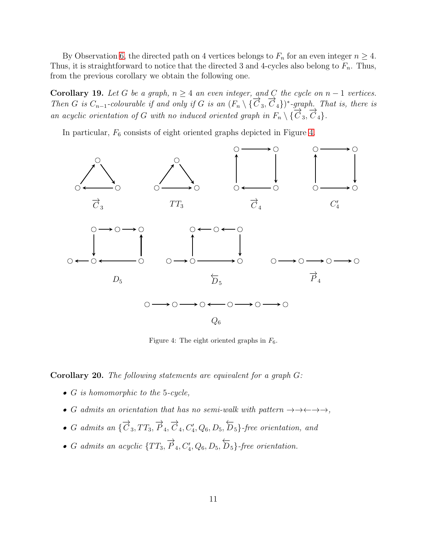By Observation [6,](#page-4-1) the directed path on 4 vertices belongs to  $F_n$  for an even integer  $n \geq 4$ . Thus, it is straightforward to notice that the directed 3 and 4-cycles also belong to  $F_n$ . Thus, from the previous corollary we obtain the following one.

Corollary 19. Let G be a graph,  $n \geq 4$  an even integer, and C the cycle on  $n - 1$  vertices. *Then* G is  $C_{n-1}$ -colourable if and only if G is an  $(F_n \setminus {\overline{C}}_3, {\overline{C}}_4)$ <sup>\*</sup>-graph. That is, there is *an acyclic orientation of* G *with no induced oriented graph in*  $F_n \setminus {\overline{C}}_3, \overline{C}_4$ .

In particular,  $F_6$  consists of eight oriented graphs depicted in Figure [4.](#page-10-0)



<span id="page-10-0"></span>Figure 4: The eight oriented graphs in  $F_6$ .

Corollary 20. *The following statements are equivalent for a graph* G*:*

- G *is homomorphic to the* 5*-cycle,*
- G *admits an orientation that has no semi-walk with pattern*  $\rightarrow \rightarrow \leftarrow \rightarrow \rightarrow$ ,
- G admits an  $\{\overrightarrow{C}_3, TT_3, \overrightarrow{P}_4, \overrightarrow{C}_4, C'_4, Q_6, D_5, \overleftarrow{D}_5\}$ -free orientation, and
- G admits an acyclic  $\{TT_3, \overrightarrow{P}_4, C'_4, Q_6, D_5, \overleftarrow{D}_5\}$ -free orientation.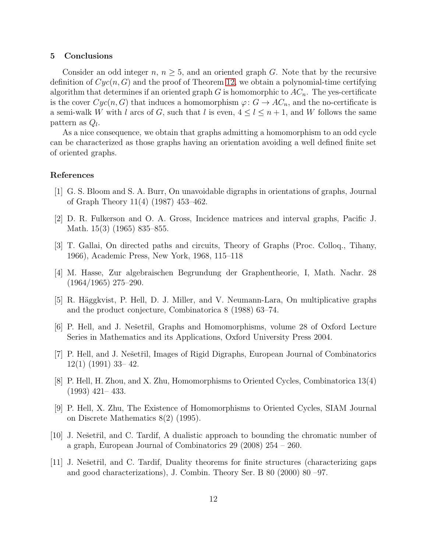#### <span id="page-11-7"></span>5 Conclusions

Consider an odd integer  $n, n \geq 5$ , and an oriented graph G. Note that by the recursive definition of  $Cyc(n, G)$  and the proof of Theorem [12,](#page-7-1) we obtain a polynomial-time certifying algorithm that determines if an oriented graph G is homomorphic to  $AC_n$ . The yes-certificate is the cover  $Cyc(n, G)$  that induces a homomorphism  $\varphi: G \to AC_n$ , and the no-certificate is a semi-walk W with l arcs of G, such that l is even,  $4 \leq l \leq n+1$ , and W follows the same pattern as  $Q_l$ .

As a nice consequence, we obtain that graphs admitting a homomorphism to an odd cycle can be characterized as those graphs having an orientation avoiding a well defined finite set of oriented graphs.

## References

- <span id="page-11-11"></span>[1] G. S. Bloom and S. A. Burr, On unavoidable digraphs in orientations of graphs, Journal of Graph Theory 11(4) (1987) 453–462.
- <span id="page-11-5"></span>[2] D. R. Fulkerson and O. A. Gross, Incidence matrices and interval graphs, Pacific J. Math. 15(3) (1965) 835–855.
- <span id="page-11-0"></span>[3] T. Gallai, On directed paths and circuits, Theory of Graphs (Proc. Colloq., Tihany, 1966), Academic Press, New York, 1968, 115–118
- <span id="page-11-1"></span>[4] M. Hasse, Zur algebraischen Begrundung der Graphentheorie, I, Math. Nachr. 28 (1964/1965) 275–290.
- <span id="page-11-8"></span>[5] R. Häggkvist, P. Hell, D. J. Miller, and V. Neumann-Lara, On multiplicative graphs and the product conjecture, Combinatorica 8 (1988) 63–74.
- <span id="page-11-10"></span>[6] P. Hell, and J. Nešetřil, Graphs and Homomorphisms, volume 28 of Oxford Lecture Series in Mathematics and its Applications, Oxford University Press 2004.
- <span id="page-11-6"></span>[7] P. Hell, and J. Nešetřil, Images of Rigid Digraphs, European Journal of Combinatorics 12(1) (1991) 33– 42.
- <span id="page-11-4"></span>[8] P. Hell, H. Zhou, and X. Zhu, Homomorphisms to Oriented Cycles, Combinatorica 13(4) (1993) 421– 433.
- <span id="page-11-9"></span>[9] P. Hell, X. Zhu, The Existence of Homomorphisms to Oriented Cycles, SIAM Journal on Discrete Mathematics 8(2) (1995).
- <span id="page-11-3"></span> $[10]$  J. Nešetřil, and C. Tardif, A dualistic approach to bounding the chromatic number of a graph, European Journal of Combinatorics 29 (2008) 254 – 260.
- <span id="page-11-2"></span> $[11]$  J. Nešetřil, and C. Tardif, Duality theorems for finite structures (characterizing gaps and good characterizations), J. Combin. Theory Ser. B 80 (2000) 80 –97.